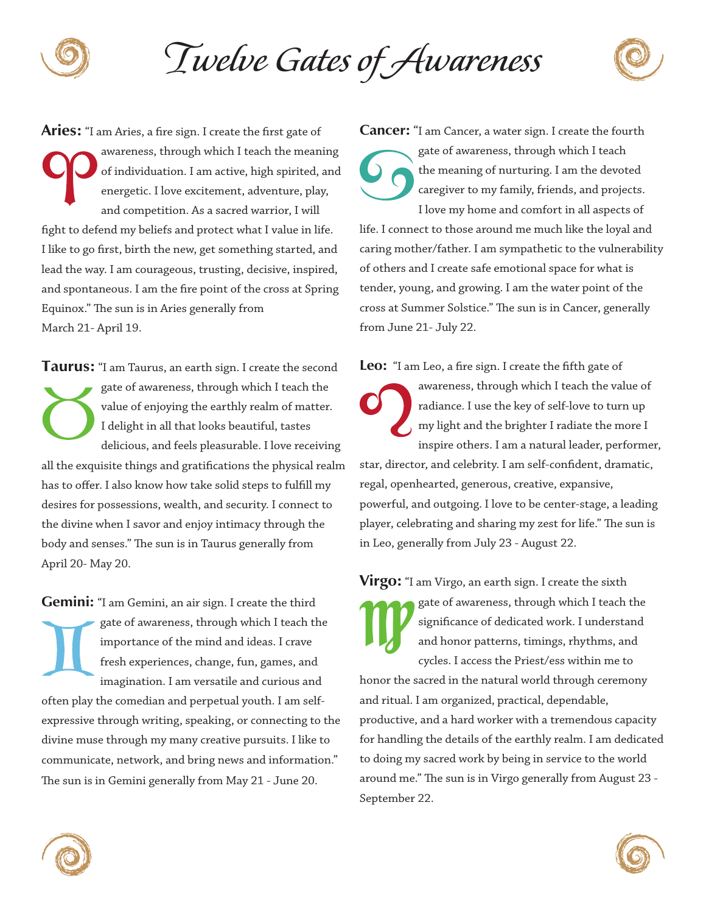

*Twelve Gates of Awareness*

**Aries:** "I am Aries, a fire sign. I create the first gate of awareness, through which I teach the meaning of individuation. I am active, high spirited, and energetic. I love excitement, adventure, play, and competition. As a sacred warrior, I will fight to defend my beliefs and protect what I value in life. I like to go first, birth the new, get something started, and lead the way. I am courageous, trusting, decisive, inspired, and spontaneous. I am the fire point of the cross at Spring Equinox." The sun is in Aries generally from March 21- April 19.

**Taurus:** "I am Taurus, an earth sign. I create the second gate of awareness, through which I teach the value of enjoying the earthly realm of matter. I delight in all that looks beautiful, tastes delicious, and feels pleasurable. I love receiving all the exquisite things and gratifications the physical realm has to offer. I also know how take solid steps to fulfill my desires for possessions, wealth, and security. I connect to the divine when I savor and enjoy intimacy through the body and senses." The sun is in Taurus generally from April 20- May 20.

**Gemini:** "I am Gemini, an air sign. I create the third gate of awareness, through which I teach the importance of the mind and ideas. I crave fresh experiences, change, fun, games, and imagination. I am versatile and curious and often play the comedian and perpetual youth. I am selfexpressive through writing, speaking, or connecting to the divine muse through my many creative pursuits. I like to communicate, network, and bring news and information." The sun is in Gemini generally from May 21 - June 20.

**Cancer:** "I am Cancer, a water sign. I create the fourth gate of awareness, through which I teach the meaning of nurturing. I am the devoted caregiver to my family, friends, and projects. I love my home and comfort in all aspects of life. I connect to those around me much like the loyal and caring mother/father. I am sympathetic to the vulnerability of others and I create safe emotional space for what is tender, young, and growing. I am the water point of the cross at Summer Solstice." The sun is in Cancer, generally from June 21- July 22.

**Leo:** "I am Leo, a fire sign. I create the fifth gate of

awareness, through which I teach the value of radiance. I use the key of self-love to turn up my light and the brighter I radiate the more I inspire others. I am a natural leader, performer,

star, director, and celebrity. I am self-confident, dramatic, regal, openhearted, generous, creative, expansive, powerful, and outgoing. I love to be center-stage, a leading player, celebrating and sharing my zest for life." The sun is in Leo, generally from July 23 - August 22.

**Virgo:** "I am Virgo, an earth sign. I create the sixth gate of awareness, through which I teach the significance of dedicated work. I understand and honor patterns, timings, rhythms, and cycles. I access the Priest/ess within me to honor the sacred in the natural world through ceremony and ritual. I am organized, practical, dependable, productive, and a hard worker with a tremendous capacity for handling the details of the earthly realm. I am dedicated to doing my sacred work by being in service to the world around me." The sun is in Virgo generally from August 23 - September 22.